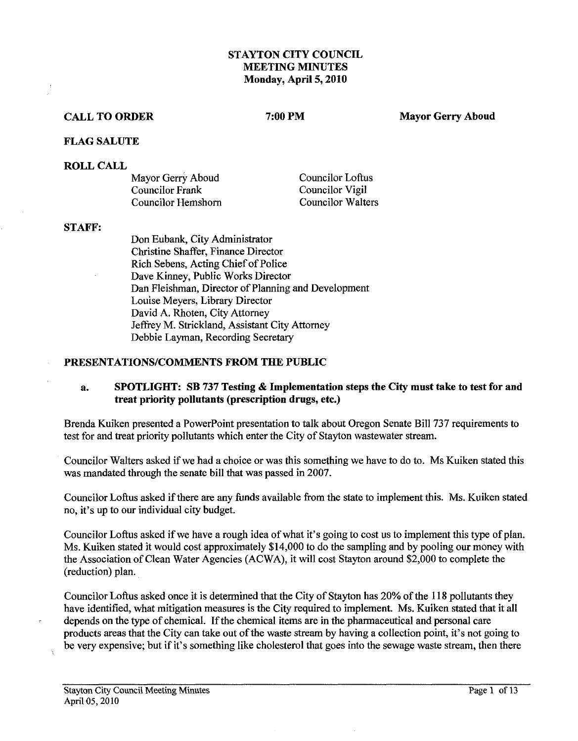#### **STAYTON CITY COUNCIL MEETING MINUTES Monday, April 5,2010**

#### **CALL TO ORDER**

7:00 PM

**Mayor Gerry Aboud** 

#### **FLAG SALUTE**

#### **ROLL CALL**

| Mayor Gerry Aboud  | Councilor Loftus  |
|--------------------|-------------------|
| Councilor Frank    | Councilor Vigil   |
| Councilor Hemshorn | Councilor Walters |

#### **STAFF:**

Don Eubank, City Administrator Christine Shaffer, Fiance Director Rich Sebens, Acting Chief of Police Dave Kinney, Public Works Director Dan Fleishman, Director of Planning and Development Louise Meyers, Library Director David A. Rhoten, City Attorney Jeffrey M. Strickland, Assistant City Attorney Debbie Layman, Recording Secretary

#### **PRESENTATIONS/COMMENTS FROM THE PUBLIC**

#### **a. SPOTLIGHT: SB 737 Testing** & **Implementation steps the City must take to test for and treat priority pollutants (prescription drugs, etc.)**

Brenda Kuiken presented a Powerpoint presentation to talk about Oregon Senate Bill **737** requirements to test for and treat priority pollutants which enter the City of Stayton wastewater stream.

Councilor Walters asked if we had a choice or was this something we have to do to. Ms Kuiken stated this was mandated through the senate bill that was passed in 2007.

Councilor Loftus asked if there are any funds available from the state to implement this. Ms. Kuiken stated no, it's up to our individual city budget.

Councilor Loftus asked if we have a rough idea of what it's going to cost us to implement this type of plan. Ms. Kuiken stated it would cost approximately \$14,000 to do the sampling and by pooling our money with the Association of Clean Water Agencies (ACWA), it will cost Stayton around \$2,000 to complete the (reduction) plan.

Councilor Loftus asked once it is determined that the City of Stayton has 20% of the 118 pollutants they have identified, what mitigation measures is the City required to implement. Ms. Kuiken stated that it all depends on the type of chemical. If the chemical items are in the pharmaceutical and personal care products areas that the City can take out of the waste stream by having a collection point, it's not going to be very expensive; but if it's something like cholesterol that goes into the sewage waste stream, then there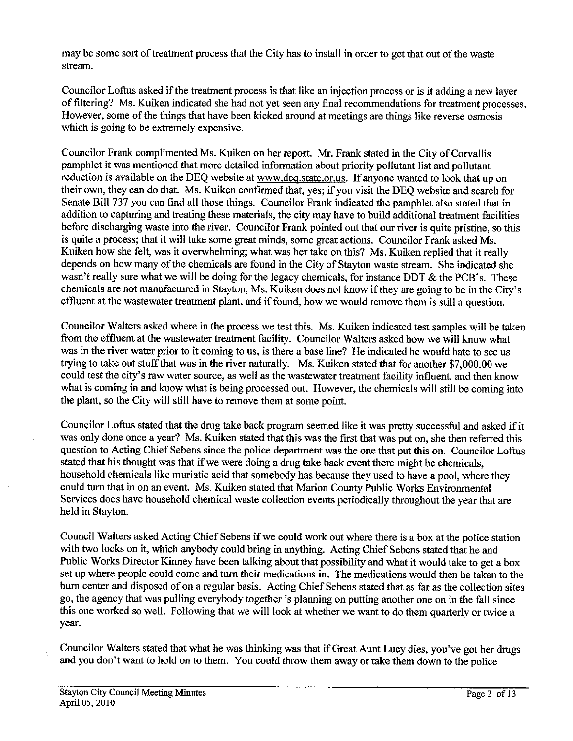may be some sort of treatment process that the City has to install in order to get that out of the waste stream.

Councilor Lohs asked if the treatment process is that like an injection process or is it adding a new layer of filtering? Ms. Kuiken indicated she had not yet seen any final recommendations for treatment processes. However, some of the things that have been kicked around at meetings are things like reverse osmosis which is going to be extremely expensive.

Councilor Frank complimented Ms. Kuiken on her report. Mr. Frank stated in the City of Corvallis pamphlet it was mentioned that more detailed information about priority pollutant list and pollutant reduction is available on the DEQ website at www.deq.state.or.us. If anyone wanted to look that up on their own, they can do that. Ms. Kuiken confirmed that, yes; if you visit the DEQ website and search for Senate Bill 737 you can find all those things. Councilor Frank indicated the pamphlet also stated that in addition to capturing and treating these materials, the city may have to build additional treatment facilities before discharging waste into the river. Councilor Frank pointed out that our river is quite pristine, so this is quite a process; that it will take some great minds, some great actions. Councilor Frank asked Ms. Kuiken how she felt, was it overwhelming; what was her take on this? Ms. Kuiken replied that it really depends on how many of the chemicals are found in the City of Stayton waste stream. She indicated she wasn't really sure what we will be doing for the legacy chemicals, for instance DDT  $\&$  the PCB's. These chemicals are not manufactured in Stayton, Ms. Kuiken does not know if they are going to be in the City's effluent at the wastewater treatment plant, and if found, how we would remove them is still a question.

Councilor Walters asked where in the process we test this. Ms. Kuiken indicated test samples will be taken from the effluent at the wastewater treatment facility. Councilor Walters asked how we will know what was in the river water prior to it coming to us, is there a base line? He indicated he would hate to see us trying to take out stuff that was in the river naturally. Ms. Kuiken stated that for another \$7,000.00 we could test the city's raw water source, as well as the wastewater treatment facility influent, and then know what is coming in and know what is being processed out. However, the chemicals will still be coming into the plant, so the City will still have to remove them at some point.

Councilor Loftus stated that the **drug** take back program seemed like it was pretty successful and asked if it was only done once a year? Ms. Kuiken stated that this was the first that was put on, she then referred this question to Acting Chief Sebens since the police department was the one that put this on. Councilor Loftus stated that his thought was that if we were doing a drug take back event there might be chemicals, household chemicals like muriatic acid that somebody has because they used to have a pool, where they could turn that in on an event. Ms. Kuiken stated that Marion County Public Works Environmental Services does have household chemical waste collection events periodically throughout the year that are held in Stayton.

Council Walters asked Acting Chief Sebens if we could work out where there is a box at the police station with two locks on it, which anybody could bring in anything. Acting Chief Sebens stated that he and Public Works Director Kinney have been talking about that possibility and what it would take to get a box set up where people could come and turn their medications in. The medications would then be taken to the burn center and disposed of on a regular basis. Acting Chief Sebens stated that as far as the collection sites go, the agency that was pulling everybody together is planning on putting another one on in the fall since this one worked so well. Following that we will look at whether we want to do them quarterly or twice a year.

Councilor Walters stated that what he was thinking was that if Great Aunt Lucy dies, you've got her drugs and you don't want to hold on to them. You could throw them away or take them down to the police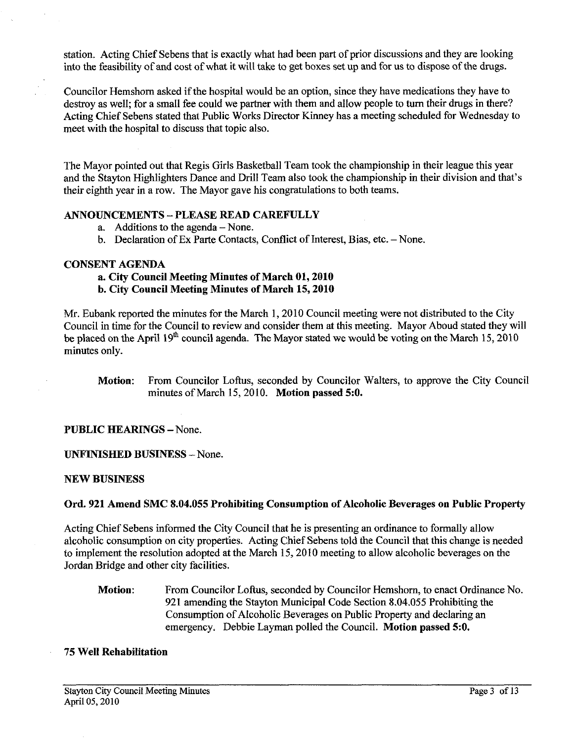station. Acting Chief Sebens that is exactly what had been part of prior discussions and they are looking into the feasibility of and cost of what it will take to get boxes set up and for us to dispose of the drugs.

Councilor Hemshorn asked if the hospital would be an option, since they have medications they have to destroy as well; for a small fee could we partner with them and allow people to turn their drugs in there? Acting Chief Sebens stated that Public Works Director Kinney has a meeting scheduled for Wednesday to meet with the hospital to discuss that topic also.

The Mayor pointed out that Regis Girls Basketball Team took the championship in their league this year and the Stayton Highlighters Dance and Drill Team also took the championship in their division and that's their eighth year in a row. The Mayor gave his congratulations to both teams.

#### **ANNOUNCEMENTS** - **PLEASE READ CAREFULLY**

- a. Additions to the agenda  $-$  None.
- b. Declaration of Ex Parte Contacts, Conflict of Interest, Bias, etc. None.

#### **CONSENT AGENDA**

# **a. City Council Meeting Minutes of March 01,2010**

**b. City Council Meeting Minutes of March 15,2010** 

Mr. Eubank reported the minutes for the March 1,2010 Council meeting were not distributed to the City Council in time for the Council to review and consider them at this meeting. Mayor Aboud stated they will be placed on the April  $19<sup>th</sup>$  council agenda. The Mayor stated we would be voting on the March 15, 2010 minutes only.

## **PUBLIC HEARINGS - None.**

**UNFINISHED BUSINESS** -None.

#### **NEW BUSINESS**

#### **Ord. 921 Amend SMC 8.04.055 Prohibiting Consumption of Alcoholic Beverages on Public Property**

Acting Chief Sebens informed the City Council that he is presenting an ordinance to formally allow alcoholic consumption on city properties. Acting Chief Sebens told the Council that this change is needed to implement the resolution adopted at the March 15,2010 meeting to allow alcoholic beverages on the Jordan Bridge and other city facilities.

**Motion:** From Councilor Loftus, seconded by Councilor Hemshorn, to enact Ordinance No. 921 amending the Stayton Municipal Code Section 8.04.055 Prohibiting the Consumption of Alcoholic Beverages on Public Property and declaring an emergency. Debbie Layman polled the Council. **Motion passed 5:O.** 

## **75 Well Rehabilitation**

**Motion:** From Councilor Loftus, seconded by Councilor Walters, to approve the City Council minutes of March 15,2010. **Motion passed 5:O.**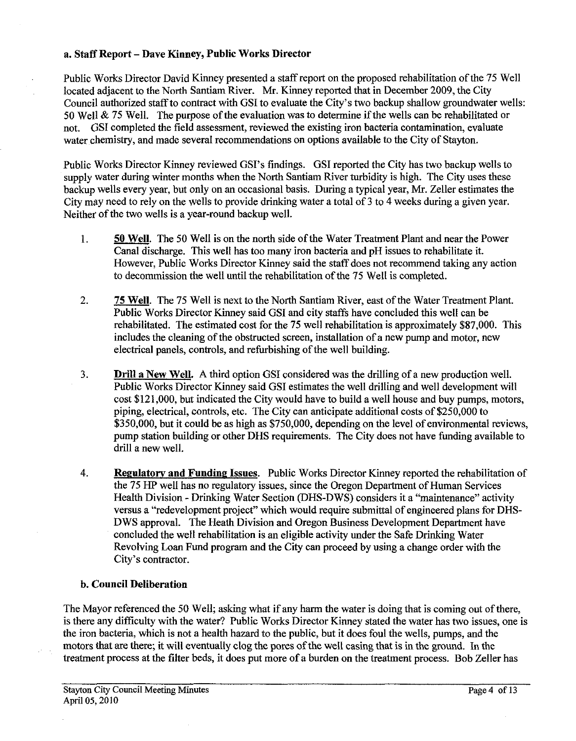#### a. Staff Report - Dave Kinney, Public Works Director

Public Works Director David Kinney presented a staff report on the proposed rehabilitation of the 75 Well located adjacent to the North Santiam River. Mr. Kinney reported that in December 2009, the City Council authorized staff to contract with GSI to evaluate the City's two backup shallow groundwater wells: 50 Well & 75 Well. The purpose of the evaluation was to determine if the wells can be rehabilitated or not. GSI completed the field assessment, reviewed the existing iron bacteria contamination, evaluate water chemistry, and made several recommendations on options available to the City of Stayton.

Public Works Director Kinney reviewed GSI's findings. GSI reported the City has two backup wells to supply water during winter months when the North Santiam River turbidity is high. The City uses these backup wells every year, but only on an occasional basis. During a typical year, Mr. Zeller estimates the City may need to rely on the wells to provide drinking water a total of **3** to 4 weeks during a given year. Neither of the two wells is a year-round backup well.

- 1. 50 Well. The 50 Well is on the north side of the Water Treatment Plant and near the Power Canal discharge. This well has too many iron bacteria and pH issues to rehabilitate it. However, Public Works Director Kinney said the staff does not recommend taking any action to decommission the well until the rehabilitation of the 75 Well is completed.
- 2. 75 Well. The 75 Well is next to the North Santiam River, east of the Water Treatment Plant. Public Works Director Kinney said GSI and city staffs have concluded this well can be rehabilitated. The estimated cost for the 75 well rehabilitation is approximately \$87,000. This includes the cleaning of the obstructed screen, installation of a new pump and motor, new electrical panels, controls, and refurbishing of the well building.
- **3.** Drill a New Well. **A** third option GSI considered was the drilling of a new production well. Public Works Director Kinney said GSI estimates the well drilling and well development will cost \$121,000, but indicated the City would have to build a well house and buy pumps, motors, piping, electrical, controls, etc. The City can anticipate additional costs of \$250,000 to \$350,000, but it could be as high as \$750,000, depending on the level of environmental reviews, pump station building or other DHS requirements. The City does not have funding available to drill a new well.
- 4. Regulatory and Funding Issues. Public Works Director Kinney reported the rehabilitation of the 75 HP well has no regulatory issues, since the Oregon Department of Human Services Health Division - Drinking Water Section (DHS-DWS) considers it a "maintenance" activity versus a "redevelopment project" which would require submittal of engineered plans for DHS-DWS approval. The Heath Division and Oregon Business Development Department have concluded the well rehabilitation is an eligible activity under the Safe Drinking Water Revolving Loan Fund program and the City can proceed by using a change order with the City's contractor.

## **b.** Council Deliberation

The Mayor referenced the 50 Well; asking what if any harm the water is doing that is coming out of there, is there any difficulty with the water? Public Works Director Kinney stated the water has two issues, one is the iron bacteria, which is not a health hazard to the public, but it does foul the wells, pumps, and the motors that are there; it will eventually clog the pores of the well casing that is in the ground. In the treatment process at the filter beds, it does put more of a burden on the treatment process. Bob Zeller has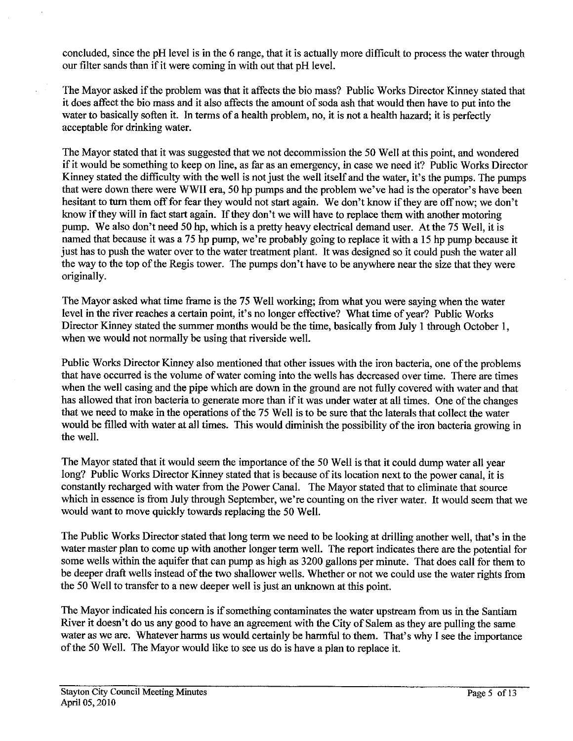concluded, since the pH level is in the *6* range, that it is actually more difficult to process the water through our filter sands than if it were coming in with out that pH level.

The Mayor asked if the problem was that it affects the bio mass? Public Works Director Kinney stated that it does affect the bio mass and it also affects the amount of soda ash that would then have to put into the water to basically soften it. In terms of a health problem, no, it is not a health hazard; it is perfectly acceptable for drinking water.

The Mayor stated that it was suggested that we not decommission the 50 Well at this point, and wondered if it would be something to keep on line, as far as an emergency, in case we need it? Public Works Director Kinney stated the difficulty with the well is not just the well itself and the water, it's the pumps. The pumps that were down there were WWII era, 50 hp pumps and the problem we've had is the operator's have been hesitant to **turn** them off for fear they would not start again. We don't know if they are off now; we don't know if they will in fact start again. If they don't we will have to replace them with another motoring pump. We also don't need 50 hp, which is a pretty heavy electrical demand user. At the 75 Well, it is named that because it was a 75 hp pump, we're probably going to replace it with a 15 hp pump because it just has to push the water over to the water treatment plant. It was designed so it could push the water all the way to the top of the Regis tower. The pumps don't have to be anywhere near the size that they were originally.

The Mayor asked what time frame is the 75 Well working; from what you were saying when the water level in the river reaches a certain point, it's no longer effective? What time of year? Public Works Director Kinney stated the summer months would be the time, basically from July 1 through October 1, when we would not normally be using that riverside well.

Public Works Director Kinney also mentioned that other issues with the iron bacteria, one of the problems that have occurred is the volume of water coming into the wells has decreased over time. There are times when the well casing and the pipe which are down in the ground are not fully covered with water and that has allowed that iron bacteria to generate more than if it was under water at all times. One of the changes that we need to make in the operations of the 75 Well is to be sure that the laterals that collect the water would be filled with water at all times. This would diminish the possibility of the iron bacteria growing in the well.

The Mayor stated that it would seem the importance of the 50 Well is that it could dump water all year long? Public Works Director Kinney stated that is because of its location next to the power canal, it is constantly recharged with water from the Power Canal. The Mayor stated that to eliminate that source which in essence is from July through September, we're counting on the river water. It would seem that we would want to move quickly towards replacing the 50 Well.

The Public Works Director stated that long term we need to be looking at drilling another well, that's in the water master plan to come up with another longer term well. The report indicates there are the potential for some wells within the aquifer that can pump as high as 3200 gallons per minute. That does call for them to be deeper draft wells instead of the two shallower wells. Whether or not we could use the water rights from the 50 Well to transfer to a new deeper well is just an unknown at this point.

The Mayor indicated his concern is if something contaminates the water upstream from us in the Santiam River it doesn't do us any good to have an agreement with the City of Salem as they are pulling the same water as we are. Whatever harms us would certainly be harmful to them. That's why I see the importance of the 50 Well. The Mayor would like to see us do is have a plan to replace it.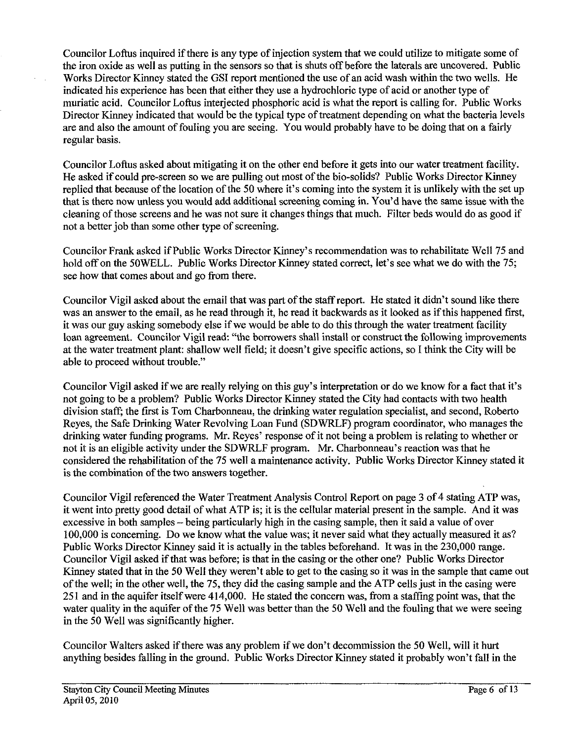Councilor Loftus inquired if there is any type of injection system that we could utilize to mitigate some of the iron oxide as well as putting in the sensors so that is shuts off before the laterals are uncovered. Public Works Director Kinney stated the GSI report mentioned the use of an acid wash within the two wells. He indicated his experience has been that either they use a hydrochloric type of acid or another type of muriatic acid. Councilor Loftus interjected phosphoric acid is what the report is calling for. Public Works Director Kinney indicated that would be the typical type of treatment depending on what the bacteria levels are and also the amount of fouling you are seeing. You would probably have to be doing that on a fairly regular basis.

Councilor Loftus asked about mitigating it on the other end before it gets into our water treatment facility. He asked if could pre-screen so we are pulling out most of the bio-solids? Public Works Director Kinney replied that because of the location of the 50 where it's coming into the system it is unlikely with the set up that is there now unless you would add additional screening coming in. You'd have the same issue with the cleaning of those screens and he was not sure it changes things that much. Filter beds would do as good if not a better job than some other type of screening.

Councilor Frank asked if Public Works Director Kimey's recommendation was to rehabilitate Well 75 and hold off on the SOWELL. Public Works Director Kinney stated correct, let's see what we do with the 75; see how that comes about and go from there.

Councilor Vigil asked about the email that was part of the staff report. He stated it didn't sound like there was an answer to the email, as he read through it, he read it backwards as it looked as if this happened first, it was our guy asking somebody else if we would be able to do this through the water treatment facility loan agreement. Councilor Vigil read: "the borrowers shall install or construct the following improvements at the water treatment plant: shallow well field; it doesn't give specific actions, so I think the City will be able to proceed without trouble."

Councilor Vigil asked if we are really relying on this guy's interpretation or do we know for a fact that it's not going to be a problem? Public Works Director Kinney stated the City had contacts with two health division staff; the first is Tom Charbonneau, the drinking water regulation specialist, and second, Roberto Reyes, the Safe Drinking Water Revolving Loan Fund (SDWRLF) program coordinator, who manages the drinking water funding programs. Mr. Reyes' response of it not being a problem is relating to whether or not it is an eligible activity under the SDWRLF program. Mr. Charbonneau's reaction was that he considered the rehabilitation of the 75 well a maintenance activity. Public Works Director Kinney stated it is the combmation of the two answers together.

Councilor Vigil referenced the Water Treatment Analysis Control Report on page **3** of 4 stating ATP was, it went into pretty good detail of what ATP is; it is the cellular material present in the sample. And it was excessive in both samples -- being particularly high in the casing sample, then it said a value of over 100,000 is concerning. Do we know what the value was; it never said what they actually measured it as? Public Works Director Kinney said it is actually in the tables beforehand. It was in the 230,000 range. Councilor Vigil asked if that was before; is that in the casing or the other one? Public Works Director Kinney stated that in the 50 Well they weren't able to get to the casing so it was in the sample that came out of the well; in the other well, the 75, they did the casing sample and the ATP cells just in the casing were 251 and in the aquifer itself were 414,000. He stated the concern was, from a staffing point was, that the water quality in the aquifer of the 75 Well was better than the 50 Well and the fouling that we were seeing in the 50 Well was significantly higher.

Councilor Walters asked if there was any problem if we don't decommission the 50 Well, will it hurt anything besides falling in the ground. Public Works Director Kinney stated it probably won't fall in the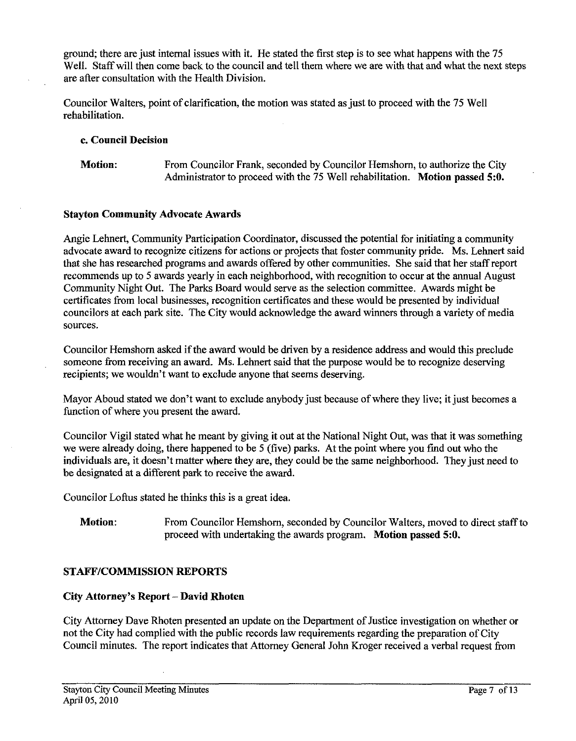ground; there are just internal issues with it. He stated the first step is to see what happens with the 75 Well. Staff will then come back to the council and tell them where we are with that and what the next steps are after consultation with the Health Division.

Councilor Walters, point of clarification, the motion was stated as just to proceed with the 75 Well rehabilitation.

#### **c.** Council Decision

Motion: From Councilor Frank, seconded by Councilor Hemshorn, to authorize the City Administrator to proceed with the 75 Well rehabilitation. Motion passed **5:O.** 

#### Stayton Community Advocate Awards

Angie Lehnert, Community Participation Coordinator, discussed the potential for initiating a community advocate award to recognize citizens for actions or projects that foster community pride. Ms. Lehnert said that she has researched programs and awards offered by other communities. She said that her staff report recommends up to 5 awards yearly in each neighborhood, with recognition to occur at the annual August Community Night Out. The Parks Board would serve as the selection committee. Awards might be certificates from local businesses, recognition certificates and these would be presented by individual councilors at each park site. The City would acknowledge the award winners through a variety of media sources.

Councilor Hemshorn asked if the award would be driven by a residence address and would this preclude someone from receiving an award. Ms. Lehnert said that the purpose would be to recognize deserving recipients; we wouldn't want to exclude anyone that seems deserving.

Mayor Aboud stated we don't want to exclude anybody just because of where they live; it just becomes a function of where you present the award.

Councilor Vigil stated what he meant by giving it out at the National Night Out, was that it was something we were already doing, there happened to be 5 (five) parks. At the point where you find out who the individuals are, it doesn't matter where they are, they could be the same neighborhood. They just need to be designated at a different park to receive the award.

Councilor Loftus stated he thinks this is a great idea.

Motion: From Councilor Hemshorn, seconded by Councilor Walters, moved to direct staff to proceed with undertaking the awards program. Motion passed **5:O.** 

## STAFF/COMMISSION REPORTS

#### City Attorney's Report - David Rhoten

City Attorney Dave Rhoten presented an update on the Department of Justice investigation on whether or not the City had complied with the public records law requirements regarding the preparation of City Council minutes. The report indicates that Attorney General John Kroger received a verbal request from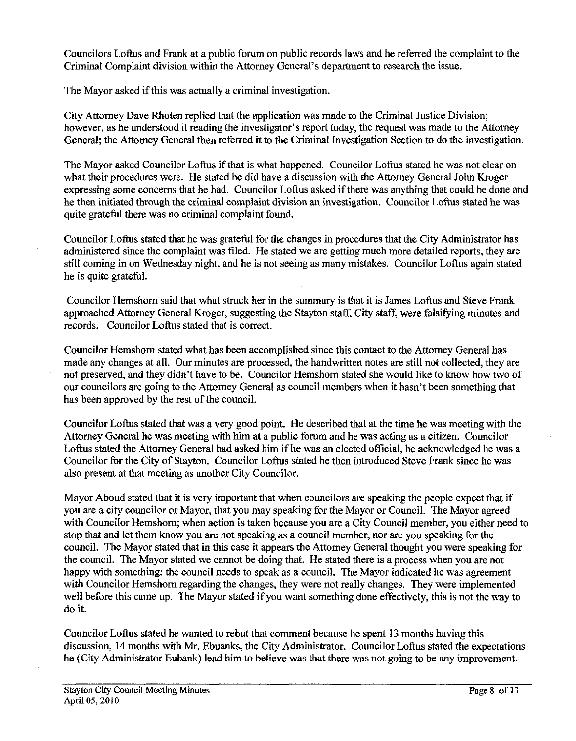Councilors Loftus and Frank at a public forum on public records laws and he referred the complaint to the Criminal Complaint division within the Attorney General's department to research the issue.

The Mayor asked if this was actually a criminal investigation.

City Attorney Dave Rhoten replied that the application was made to the Criminal Justice Division; however, as he understood it reading the investigator's report today, the request was made to the Attorney General; the Attorney General then referred it to the Criminal Investigation Section to do the investigation.

The Mayor asked Councilor Loftus if that is what happened. Councilor Loftus stated he was not clear on what their procedures were. He stated he did have a discussion with the Attorney General John Kroger expressing some concerns that he had. Councilor Loftus asked if there was anything that could be done and he then initiated through the criminal complaint division an investigation. Councilor Loftus stated he was quite grateful there was no criminal complaint found.

Councilor Loftus stated that he was grateful for the changes in procedures that the City Administrator has administered since the complaint was filed. He stated we are getting much more detailed reports, they are still coming in on Wednesday night, and he is not seeing as many mistakes. Councilor Loftus again stated he is quite grateful.

Councilor Hemshorn said that what struck her in the summary is that it is James Loftus and Steve Frank approached Attorney General Kroger, suggesting the Stayton staff, City staff, were falsifying minutes and records. Councilor Loftus stated that is correct.

Councilor Hemshorn stated what has been accomplished since this contact to the Attorney General has made any changes at all. Our minutes are processed, the handwritten notes are still not collected, they are not preserved, and they didn't have to be. Councilor Hemshorn stated she would like to know how two of our councilors are going to the Attorney General as council members when it hasn't been something that has been approved by the rest of the council.

Councilor Loftus stated that was a very good point. He described that at the time he was meeting with the Attorney General he was meeting with him at a public forum and he was acting as a citizen. Councilor Loftus stated the Attorney General had asked him if he was an elected official, he acknowledged he was a Councilor for the City of Stayton. Councilor Loftus stated he then introduced Steve Frank since he was also present at that meeting as another City Councilor.

Mayor Aboud stated that it is very important that when councilors are speaking the people expect that if you are a city councilor or Mayor, that you may speaking for the Mayor or Council. The Mayor agreed with Councilor Hemshorn; when action is taken because you are a City Council member, you either need to stop that and let them know you are not speaking as a council member, nor are you speaking for the council. The Mayor stated that in this case it appears the Attorney General thought you were speaking for the council. The Mayor stated we cannot be doing that. He stated there is a process when you are not happy with something; the council needs to speak as a council. The Mayor indicated he was agreement with Councilor Hemshorn regarding the changes, they were not really changes. They were implemented well before this came up. The Mayor stated if you want something done effectively, this is not the way to do it.

Councilor Loftus stated he wanted to rebut that comment because he spent 13 months having this discussion, 14 months with Mr. Ebuanks, the City Administrator. Councilor Loftus stated the expectations he (City Administrator Eubank) lead him to believe was that there was not going to be any improvement.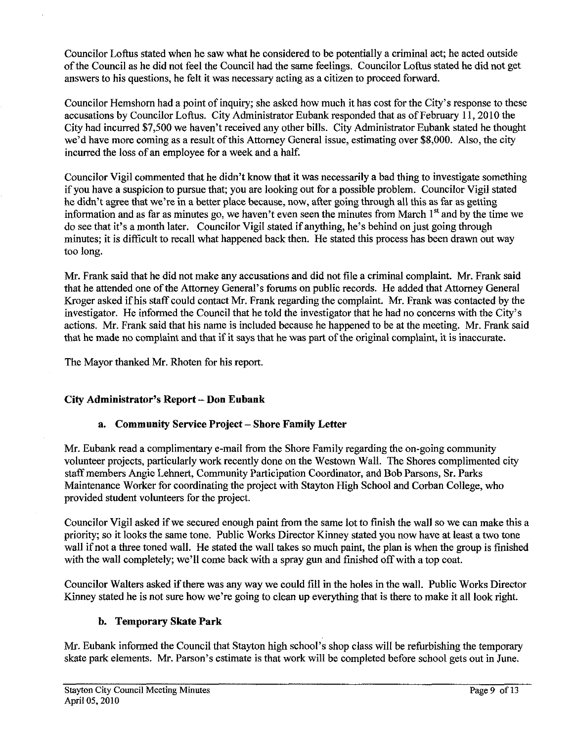Councilor Loflus stated when he saw what he considered to be potentially a criminal act; he acted outside of the Council as he did not feel the Council had the same feelings. Councilor Loftus stated he did not get answers to his questions, he felt it was necessary acting as a citizen to proceed forward.

Councilor Hemshorn had a point of inquiry; she asked how much it has cost for the City's response to these accusations by Councilor Loftus. City Administrator Eubank responded that as of February 11,2010 the City had incurred \$7,500 we haven't received any other bills. City Administrator Eubank stated he thought we'd have more coming **as** a result of this Attorney General issue, estimating over \$8,000. Also, the city incurred the loss of an employee for a week and a half.

Councilor Vigil commented that he didn't know that it was necessarily a bad thing to investigate something if you have a suspicion to pursue that; you are looking out for a possible problem. Councilor Vigil stated he didn't agree that we're in a better place because, now, after going through all this as far as getting information and as far as minutes go, we haven't even seen the minutes from March  $1<sup>st</sup>$  and by the time we do see that it's a month later. Councilor Vigil stated if anything, he's behind on just going through minutes; it is difficult to recall what happened back then. He stated this process has been drawn out way too long.

Mr. Frank said that he did not make any accusations and did not file a criminal complaint. Mr. Frank said that he attended one of the Attorney General's forums on public records. He added that Attorney General Kroger asked if his staff could contact Mr. Frank regarding the complaint. Mr. Frank was contacted by the investigator. He informed the Council that he told the investigator that he had no concerns with the City's actions. Mr. Frank said that his name is included because he happened to be at the meeting. Mr. Frank said that he made no complaint and that if it says that he was part of the original complaint, it is inaccurate.

The Mayor thanked Mr. Rhoten for his report.

## **City Administrator's Report** - **Don Eubank**

## **a. Community Service Project** - **Shore Family Letter**

Mr. Euhank read a complimentary e-mail from the Shore Family regarding the on-going community volunteer projects, particularly work recently done on the Westown Wall. The Shores complimented city staff members Angie Lehnert, Community Participation Coordinator, and Bob Parsons, Sr. Parks Maintenance Worker for coordinating the project with Stayton High School and Corban College, who provided student volunteers for the project.

Councilor Vigil asked if we secured enough paint from the same lot to finish the wall so we can make this a priority; so it looks the same tone. Public Works Director Kinney stated you now have at least a two tone wall if not a three toned wall. He stated the wall takes so much paint, the plan is when the group is finished with the wall completely; we'll come back with a spray gun and finished off with a top coat.

Councilor Walters asked if there was any way we could fill in the holes in the wall. Public Works Director Kinney stated he is not sure how we're going to clean up everything that is there to make it all look right.

## **b. Temporary Skate Park**

Mr. Euhank informed the Council that Stayton high school's shop class will be refurbishing the temporary skate park elements. Mr. Parson's estimate is that work will be completed before school gets out in June.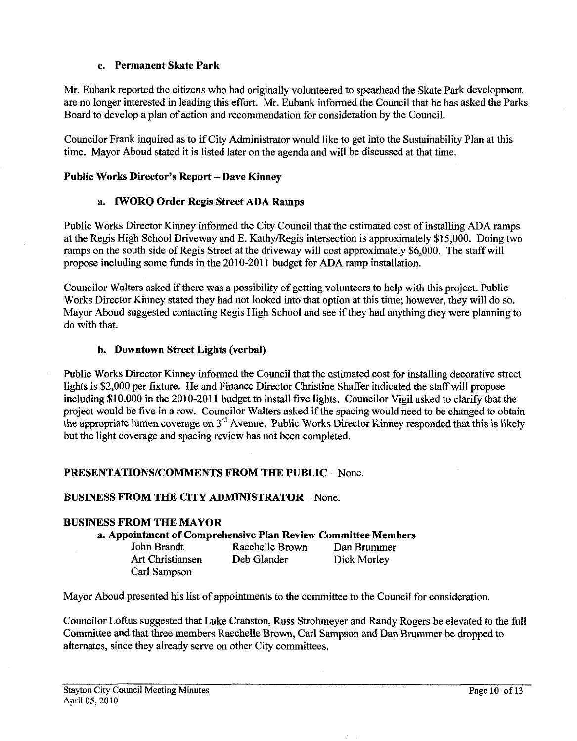## **c. Permanent Skate Park**

Mr. Eubank reported the citizens who had originally volunteered to spearhead the Skate Park development are no longer interested in leading this effort. Mr. Eubank informed the Council that he has asked the Parks Board to develop a plan of action and recommendation for consideration by the Council.

Councilor Frank inquired as to if City Administrator would like **to** get into the Sustainability Plan at this time. Mayor Aboud stated it is listed later on the agenda and will be discussed at that time.

## **Public Works Director's Report** - **Dave Kinney**

## **a. lWORQ Order Regis Street ADA Ramps**

Public Works Director Kinney informed the City Council that the estimated cost of installing ADA ramps at the Regis High School Driveway and E. KathyRegis intersection is approximately \$15,000. Doing two ramps on the south side of Regis Street at the driveway will cost approximately \$6,000. The staff will propose including some funds in the 2010-201 1 budget for ADA ramp installation.

Councilor Walters asked if there was a possibility of getting volunteers to help with this project. Public Works Director Kinney stated they had not looked into that option at this time; however, they will do so. Mayor Aboud suggested contacting Regis High School and see if they had anything they were planning to do with that.

## **b. Downtown Street Lights (verbal)**

Public Works Director Kinney informed the Council that the estimated cost for installing decorative street lights is \$2,000 per fixture. He and Finance Director Christine Shaffer indicated the staff will propose including \$10,000 in the 2010-2011 budget to install five lights. Councilor Vigil asked to clarify that the project would be five in a row. Councilor Walters asked if the spacing would need to be changed to obtain the appropriate lumen coverage on 3<sup>rd</sup> Avenue. Public Works Director Kinney responded that this is likely but the light coverage and spacing review has not been completed.

## **PRESENTATIONS/COMMENTS FROM THE PUBLIC - None.**

## **BUSINESS FROM THE CITY ADMINISTRATOR** - None.

## **BUSINESS FROM THE MAYOR**

**a. Appointment of Comprehensive Plan Review Committee Members** 

| John Brandt      | Raechelle Brown | Dan Brummer |
|------------------|-----------------|-------------|
| Art Christiansen | Deb Glander     | Dick Morley |
| Carl Sampson     |                 |             |

Mayor Aboud presented his list of appointments to the committee to the Council for consideration.

Councilor Loftus suggested that Luke Cranston, Russ Strohmeyer and Randy Rogers be elevated to the full Committee and that three members Raechelle Brown, Carl Sampson and Dan Brummer be dropped to alternates, since they already serve on other City committees.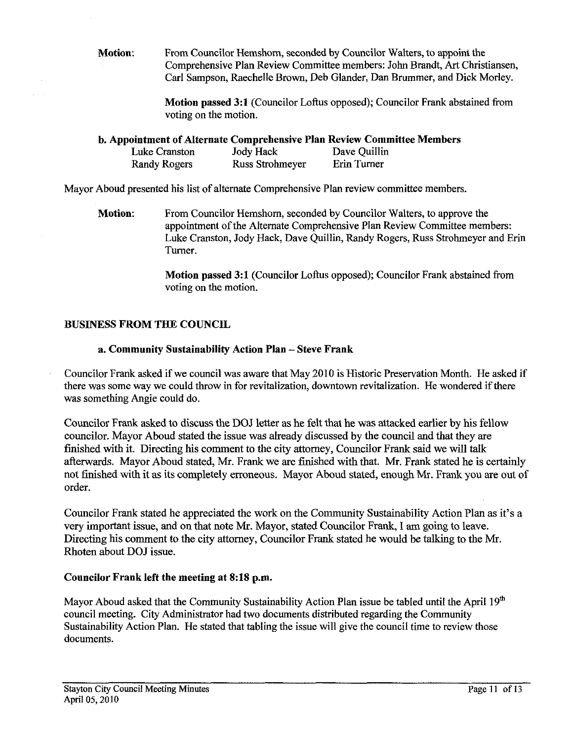**Motion:** From Councilor Hemshom, seconded by Councilor Walters, to appoint the Comprehensive Plan Review Committee members: John Bmdt, **Art** Christiansen, Carl Sampson, Raechelle Brown, Deb Glander, Dan Brummer, and Dick Morley.

> **Motion passed 3:1 (Councilor Loftus opposed); Councilor Frank abstained from** voting on the motion.

**b. Appointment of Alternate Comprehensive Plan Review Committee Members** 

| Luke Cranston | <b>Jody Hack</b> | Dave Quillin |
|---------------|------------------|--------------|
| Randy Rogers  | Russ Strohmeyer  | Erin Turner  |

Mayor Aboud presented his list of alternate Comprehensive Plan review committee members.

**Motion:** From Councilor Hemshom, seconded by Councilor Walters, to approve the appointment of the Alternate Comprehensive Plan Review Committee members: Luke Cranston, Jody Hack, Dave Quillin, Randy Rogers, Russ Strohmeyer and Erin Turner.

> **Motion passed 3:l** (Councilor Loftus opposed); Councilor Frank abstained from voting on the motion.

## **BUSINESS FROM THE COUNCIL**

## **a. Community Sustainability Action Plan** - **Steve Frank**

Councilor Frank asked if we council was aware that May 2010 is Historic Preservation Month. He asked if there was some way we could throw in for revitalization, downtown revitalization. He wondered if there was something Angie could do.

Councilor Frank asked to discuss the DOJ letter as he felt that he was attacked earlier by his fellow councilor. Mayor Aboud stated the issue was already discussed by the council and that they are finished with it. Directing his comment to the city attorney, Councilor Frank said we will *talk*  afterwards. Mayor Aboud stated, Mr. Frank we are finished with that. Mr. Frank stated he is certainly not finished with it as its completely erroneous. Mayor Aboud stated, enough Mr. Frank you are out of order.

Councilor Frank stated he appreciated the work on the Community Sustainability Action Plan as it's a very important issue, and on that note Mr. Mayor, stated Councilor Frank, I am going to leave. Directing his comment to the city attorney, Councilor Frank stated he would be talking to the Mr. Rhoten about DOJ issue.

## **Councilor Frank left the meeting at 8:18 p.m.**

Mayor Aboud asked that the Community Sustainability Action Plan issue be tabled until the April  $19<sup>th</sup>$ council meeting. City Administrator had two documents distributed regarding the Community Sustainability Action Plan. He stated that tabling the issue will give the council time to review those documents.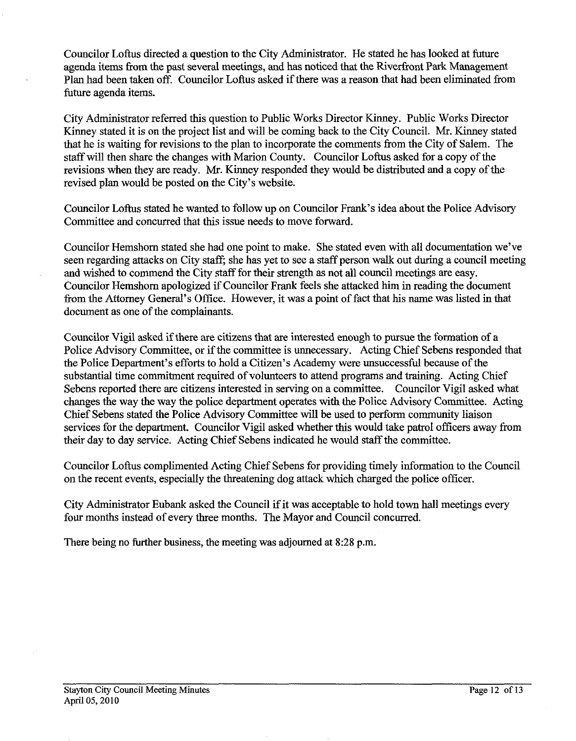Councilor Loftus directed a question to the City Administrator. He stated he has looked at future agenda items from the past several meetings, and has noticed that the Riverfront Park Management Plan had been taken off. Councilor Loftus asked if there was a reason that had been eliminated from future agenda items.

City Administrator referred this question to Public Works Director Kinney. Public Works Director Kinney stated it is on the project list and will be coming back to the City Council. Mr. Kinney stated that he is waiting for revisions to the plan to incorporate the comments from the City of Salem. The staff will then share the changes with Marion County. Councilor Loftus asked for a copy of the revisions when they are ready. Mr. Kinney responded they would be distributed and a copy of the revised plan would be posted on the City's website.

Councilor Loftus stated he wanted to follow up on Councilor Frank's idea about the Police Advisory Committee and concurred that this issue needs to move forward.

Councilor Hemshom stated she had one point to make. She stated even with all documentation we've seen regarding attacks on City staff; she has yet to see a staff person walk out during a council meeting and wished to commend the City staff for their strength as not all council meetings are easy. Councilor Hemshom apologized if Councilor Frank feels she attacked him in reading the document from the Attomey General's Oflice. However, it was a point of fact that his name was listed in that document as one of the complainants.

Councilor Vigil asked if there are citizens that are interested enough to pursue the formation of a Police Advisory Committee, or if the committee is unnecessary. Acting Chief Sebens responded that the Police Department's efforts to hold a Citizen's Academy were unsuccessful because of the substantial time commitment required of volunteers to attend programs and training. Acting Chief Sebens reported there are citizens interested in serving on a committee. Councilor Vigil asked what changes the way the way the police department operates with the Police Advisory Committee. Acting Chief Sebens stated the Police Advisory Committee will be used to perform community liaison services for the department. Councilor Vigil asked whether this would take patrol officers away from their day to day service. Acting Chief Sebens indicated he would staffthe committee.

Councilor Loftus complimented Acting Chief Sebens for providing timely information to the Council on the recent events, especially the threatening dog attack which charged the police officer.

City Administrator Eubank asked the Council if it was acceptable to hold town hall meetings every four months instead of every three months. The Mayor and Council concurred.

There being no further business, the meeting was adjourned at **8:28** p.m.